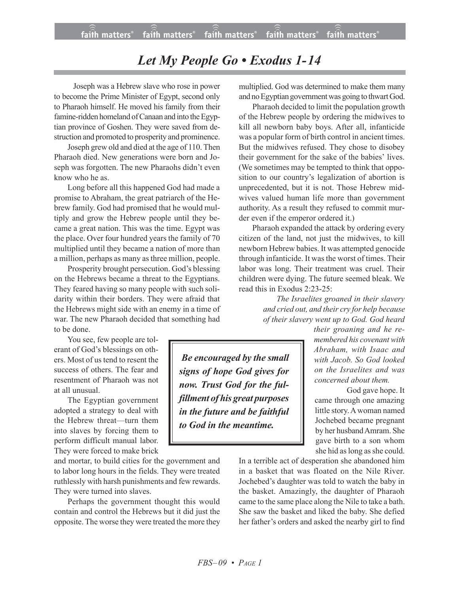## *Let My People Go • Exodus 1-14*

 Joseph was a Hebrew slave who rose in power to become the Prime Minister of Egypt, second only to Pharaoh himself. He moved his family from their famine-ridden homeland of Canaan and into the Egyptian province of Goshen. They were saved from destruction and promoted to prosperity and prominence.

Joseph grew old and died at the age of 110. Then Pharaoh died. New generations were born and Joseph was forgotten. The new Pharaohs didn't even know who he as.

Long before all this happened God had made a promise to Abraham, the great patriarch of the Hebrew family. God had promised that he would multiply and grow the Hebrew people until they became a great nation. This was the time. Egypt was the place. Over four hundred years the family of 70 multiplied until they became a nation of more than a million, perhaps as many as three million, people.

Prosperity brought persecution. God's blessing on the Hebrews became a threat to the Egyptians. They feared having so many people with such solidarity within their borders. They were afraid that the Hebrews might side with an enemy in a time of war. The new Pharaoh decided that something had to be done.

You see, few people are tolerant of God's blessings on others. Most of us tend to resent the success of others. The fear and resentment of Pharaoh was not at all unusual.

The Egyptian government adopted a strategy to deal with the Hebrew threat—turn them into slaves by forcing them to perform difficult manual labor. They were forced to make brick

and mortar, to build cities for the government and to labor long hours in the fields. They were treated ruthlessly with harsh punishments and few rewards. They were turned into slaves.

Perhaps the government thought this would contain and control the Hebrews but it did just the opposite. The worse they were treated the more they multiplied. God was determined to make them many and no Egyptian government was going to thwart God.

Pharaoh decided to limit the population growth of the Hebrew people by ordering the midwives to kill all newborn baby boys. After all, infanticide was a popular form of birth control in ancient times. But the midwives refused. They chose to disobey their government for the sake of the babies' lives. (We sometimes may be tempted to think that opposition to our country's legalization of abortion is unprecedented, but it is not. Those Hebrew midwives valued human life more than government authority. As a result they refused to commit murder even if the emperor ordered it.)

Pharaoh expanded the attack by ordering every citizen of the land, not just the midwives, to kill newborn Hebrew babies. It was attempted genocide through infanticide. It was the worst of times. Their labor was long. Their treatment was cruel. Their children were dying. The future seemed bleak. We read this in Exodus 2:23-25:

> *The Israelites groaned in their slavery and cried out, and their cry for help because of their slavery went up to God. God heard*

> > *their groaning and he remembered his covenant with Abraham, with Isaac and with Jacob. So God looked on the Israelites and was concerned about them.*

God gave hope. It came through one amazing little story. A woman named Jochebed became pregnant by her husbandAmram. She gave birth to a son whom she hid as long as she could.

In a terrible act of desperation she abandoned him in a basket that was floated on the Nile River. Jochebed's daughter was told to watch the baby in the basket. Amazingly, the daughter of Pharaoh came to the same place along the Nile to take a bath. She saw the basket and liked the baby. She defied her father's orders and asked the nearby girl to find

*Be encouraged by the small signs of hope God gives for now. Trust God for the fulfillment of his great purposes in the future and be faithful to God in the meantime.*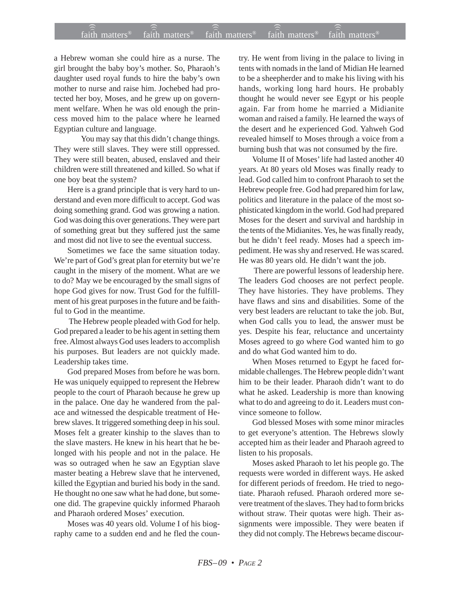## $f$ aith matters® staith matters® staith matters® staith matters® staith matters® faith matters<sup>®</sup> faith matters<sup>®</sup>  $\widehat{4a}$ ith matters<sup>®</sup>

a Hebrew woman she could hire as a nurse. The girl brought the baby boy's mother. So, Pharaoh's daughter used royal funds to hire the baby's own mother to nurse and raise him. Jochebed had protected her boy, Moses, and he grew up on government welfare. When he was old enough the princess moved him to the palace where he learned Egyptian culture and language.

You may say that this didn't change things. They were still slaves. They were still oppressed. They were still beaten, abused, enslaved and their children were still threatened and killed. So what if one boy beat the system?

Here is a grand principle that is very hard to understand and even more difficult to accept. God was doing something grand. God was growing a nation. God was doing this over generations. They were part of something great but they suffered just the same and most did not live to see the eventual success.

Sometimes we face the same situation today. We're part of God's great plan for eternity but we're caught in the misery of the moment. What are we to do? May we be encouraged by the small signs of hope God gives for now. Trust God for the fulfillment of his great purposes in the future and be faithful to God in the meantime.

 The Hebrew people pleaded with God for help. God prepared a leader to be his agent in setting them free. Almost always God uses leaders to accomplish his purposes. But leaders are not quickly made. Leadership takes time.

God prepared Moses from before he was born. He was uniquely equipped to represent the Hebrew people to the court of Pharaoh because he grew up in the palace. One day he wandered from the palace and witnessed the despicable treatment of Hebrew slaves. It triggered something deep in his soul. Moses felt a greater kinship to the slaves than to the slave masters. He knew in his heart that he belonged with his people and not in the palace. He was so outraged when he saw an Egyptian slave master beating a Hebrew slave that he intervened, killed the Egyptian and buried his body in the sand. He thought no one saw what he had done, but someone did. The grapevine quickly informed Pharaoh and Pharaoh ordered Moses' execution.

Moses was 40 years old. Volume I of his biography came to a sudden end and he fled the country. He went from living in the palace to living in tents with nomads in the land of Midian He learned to be a sheepherder and to make his living with his hands, working long hard hours. He probably thought he would never see Egypt or his people again. Far from home he married a Midianite woman and raised a family. He learned the ways of the desert and he experienced God. Yahweh God revealed himself to Moses through a voice from a burning bush that was not consumed by the fire.

Volume II of Moses' life had lasted another 40 years. At 80 years old Moses was finally ready to lead. God called him to confront Pharaoh to set the Hebrew people free. God had prepared him for law, politics and literature in the palace of the most sophisticated kingdom in the world. God had prepared Moses for the desert and survival and hardship in the tents of the Midianites. Yes, he was finally ready, but he didn't feel ready. Moses had a speech impediment. He was shy and reserved. He was scared. He was 80 years old. He didn't want the job.

 There are powerful lessons of leadership here. The leaders God chooses are not perfect people. They have histories. They have problems. They have flaws and sins and disabilities. Some of the very best leaders are reluctant to take the job. But, when God calls you to lead, the answer must be yes. Despite his fear, reluctance and uncertainty Moses agreed to go where God wanted him to go and do what God wanted him to do.

When Moses returned to Egypt he faced formidable challenges. The Hebrew people didn't want him to be their leader. Pharaoh didn't want to do what he asked. Leadership is more than knowing what to do and agreeing to do it. Leaders must convince someone to follow.

God blessed Moses with some minor miracles to get everyone's attention. The Hebrews slowly accepted him as their leader and Pharaoh agreed to listen to his proposals.

Moses asked Pharaoh to let his people go. The requests were worded in different ways. He asked for different periods of freedom. He tried to negotiate. Pharaoh refused. Pharaoh ordered more severe treatment of the slaves. They had to form bricks without straw. Their quotas were high. Their assignments were impossible. They were beaten if they did not comply. The Hebrews became discour-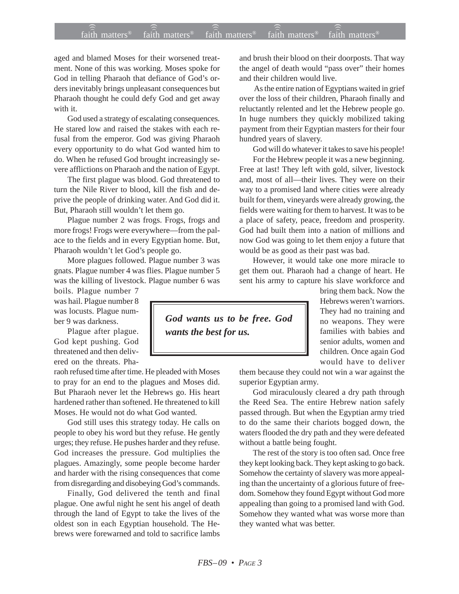## $f$ aith matters® staith matters® staith matters® staith matters® staith matters® faith matters<sup>®</sup> faith matters<sup>®</sup>  $\widehat{a}$  faith matters<sup>®</sup>

aged and blamed Moses for their worsened treatment. None of this was working. Moses spoke for God in telling Pharaoh that defiance of God's orders inevitably brings unpleasant consequences but Pharaoh thought he could defy God and get away with it.

God used a strategy of escalating consequences. He stared low and raised the stakes with each refusal from the emperor. God was giving Pharaoh every opportunity to do what God wanted him to do. When he refused God brought increasingly severe afflictions on Pharaoh and the nation of Egypt.

The first plague was blood. God threatened to turn the Nile River to blood, kill the fish and deprive the people of drinking water. And God did it. But, Pharaoh still wouldn't let them go.

Plague number 2 was frogs. Frogs, frogs and more frogs! Frogs were everywhere—from the palace to the fields and in every Egyptian home. But, Pharaoh wouldn't let God's people go.

More plagues followed. Plague number 3 was gnats. Plague number 4 was flies. Plague number 5 was the killing of livestock. Plague number 6 was

boils. Plague number 7 was hail. Plague number 8 was locusts. Plague number 9 was darkness.

Plague after plague. God kept pushing. God threatened and then delivered on the threats. Pha-

raoh refused time after time. He pleaded with Moses to pray for an end to the plagues and Moses did. But Pharaoh never let the Hebrews go. His heart hardened rather than softened. He threatened to kill Moses. He would not do what God wanted.

God still uses this strategy today. He calls on people to obey his word but they refuse. He gently urges; they refuse. He pushes harder and they refuse. God increases the pressure. God multiplies the plagues. Amazingly, some people become harder and harder with the rising consequences that come from disregarding and disobeying God's commands.

Finally, God delivered the tenth and final plague. One awful night he sent his angel of death through the land of Egypt to take the lives of the oldest son in each Egyptian household. The Hebrews were forewarned and told to sacrifice lambs and brush their blood on their doorposts. That way the angel of death would "pass over" their homes and their children would live.

 As the entire nation of Egyptians waited in grief over the loss of their children, Pharaoh finally and reluctantly relented and let the Hebrew people go. In huge numbers they quickly mobilized taking payment from their Egyptian masters for their four hundred years of slavery.

God will do whatever it takes to save his people!

For the Hebrew people it was a new beginning. Free at last! They left with gold, silver, livestock and, most of all—their lives. They were on their way to a promised land where cities were already built for them, vineyards were already growing, the fields were waiting for them to harvest. It was to be a place of safety, peace, freedom and prosperity. God had built them into a nation of millions and now God was going to let them enjoy a future that would be as good as their past was bad.

However, it would take one more miracle to get them out. Pharaoh had a change of heart. He sent his army to capture his slave workforce and

> bring them back. Now the Hebrews weren't warriors. They had no training and no weapons. They were families with babies and senior adults, women and children. Once again God would have to deliver

them because they could not win a war against the superior Egyptian army.

God miraculously cleared a dry path through the Reed Sea. The entire Hebrew nation safely passed through. But when the Egyptian army tried to do the same their chariots bogged down, the waters flooded the dry path and they were defeated without a battle being fought.

The rest of the story is too often sad. Once free they kept looking back. They kept asking to go back. Somehow the certainty of slavery was more appealing than the uncertainty of a glorious future of freedom. Somehow they found Egypt without God more appealing than going to a promised land with God. Somehow they wanted what was worse more than they wanted what was better.

*God wants us to be free. God wants the best for us.*